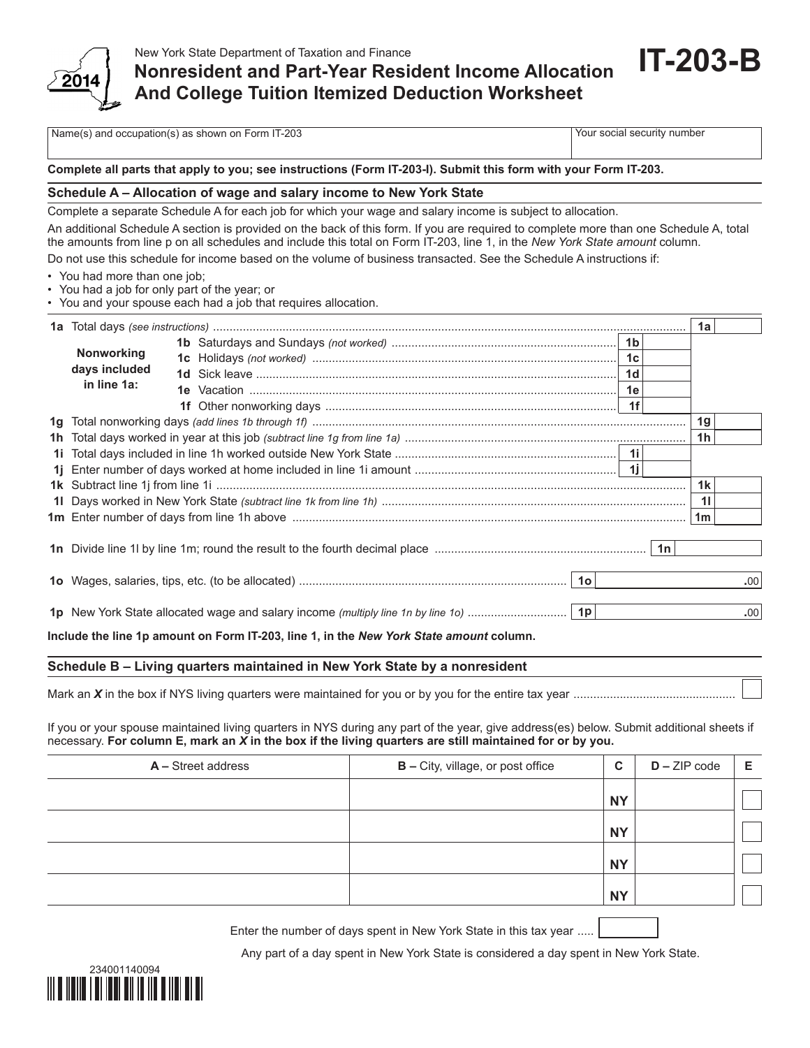

## **Nonresident and Part-Year Resident Income Allocation And College Tuition Itemized Deduction Worksheet**

Name(s) and occupation(s) as shown on Form IT-203 Your social security number

**IT-203-B**

## **Complete all parts that apply to you; see instructions (Form IT-203-I). Submit this form with your Form IT-203.**

## **Schedule A – Allocation of wage and salary income to New York State**

Complete a separate Schedule A for each job for which your wage and salary income is subject to allocation.

An additional Schedule A section is provided on the back of this form. If you are required to complete more than one Schedule A, total the amounts from line p on all schedules and include this total on Form IT-203, line 1, in the *New York State amount* column. Do not use this schedule for income based on the volume of business transacted. See the Schedule A instructions if:

- You had more than one job;
- You had a job for only part of the year; or
- You and your spouse each had a job that requires allocation.

| 1a |                                    |    |                                  |  |  |      |  |
|----|------------------------------------|----|----------------------------------|--|--|------|--|
|    | <b>Nonworking</b><br>days included |    | 1 <sub>b</sub><br>1 <sub>d</sub> |  |  |      |  |
|    | in line 1a:                        | 1e |                                  |  |  |      |  |
| 1a |                                    |    |                                  |  |  |      |  |
|    |                                    |    |                                  |  |  |      |  |
| 1i |                                    |    |                                  |  |  |      |  |
|    |                                    |    |                                  |  |  |      |  |
|    |                                    |    |                                  |  |  |      |  |
|    |                                    |    |                                  |  |  |      |  |
|    |                                    |    |                                  |  |  |      |  |
|    |                                    |    |                                  |  |  |      |  |
|    |                                    |    |                                  |  |  | .00  |  |
|    |                                    |    |                                  |  |  | .00. |  |

**Include the line 1p amount on Form IT-203, line 1, in the** *New York State amount* **column.**

## **Schedule B – Living quarters maintained in New York State by a nonresident**

Mark an  $X$  in the box if NYS living quarters were maintained for you or by you for the entire tax year ....

If you or your spouse maintained living quarters in NYS during any part of the year, give address(es) below. Submit additional sheets if necessary. **For column E, mark an** *X* **in the box if the living quarters are still maintained for or by you.**

| A - Street address | <b>B</b> - City, village, or post office | C         | $D - ZIP code$ | Е |
|--------------------|------------------------------------------|-----------|----------------|---|
|                    |                                          | <b>NY</b> |                |   |
|                    |                                          | <b>NY</b> |                |   |
|                    |                                          | <b>NY</b> |                |   |
|                    |                                          | <b>NY</b> |                |   |

Enter the number of days spent in New York State in this tax year .....

Any part of a day spent in New York State is considered a day spent in New York State.